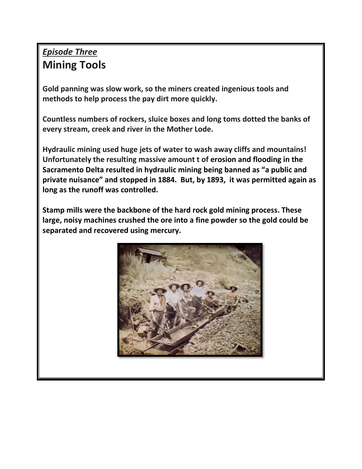## *Episode Three* **Mining Tools**

**Gold panning was slow work, so the miners created ingenious tools and methods to help process the pay dirt more quickly.** 

**Countless numbers of rockers, sluice boxes and long toms dotted the banks of every stream, creek and river in the Mother Lode.** 

**Hydraulic mining used huge jets of water to wash away cliffs and mountains! Unfortunately the resulting massive amount t of erosion and flooding in the Sacramento Delta resulted in hydraulic mining being banned as "a public and private nuisance" and stopped in 1884. But, by 1893, it was permitted again as long as the runoff was controlled.**

**Stamp mills were the backbone of the hard rock gold mining process. These large, noisy machines crushed the ore into a fine powder so the gold could be separated and recovered using mercury.** 

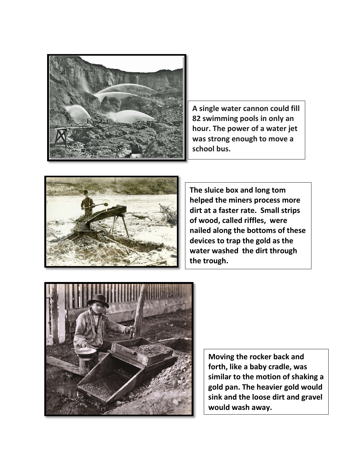

**A single water cannon could fill 82 swimming pools in only an hour. The power of a water jet was strong enough to move a school bus.**



**The sluice box and long tom helped the miners process more dirt at a faster rate. Small strips of wood, called riffles, were nailed along the bottoms of these devices to trap the gold as the water washed the dirt through the trough.** 



**Moving the rocker back and forth, like a baby cradle, was similar to the motion of shaking a gold pan. The heavier gold would sink and the loose dirt and gravel would wash away.**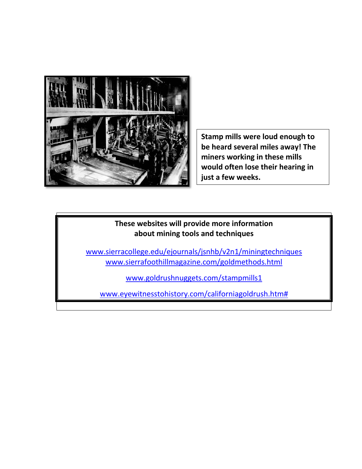

**Stamp mills were loud enough to be heard several miles away! The miners working in these mills would often lose their hearing in just a few weeks.** 

## **These websites will provide more information about mining tools and techniques**

[www.sierracollege.edu/ejournals/jsnhb/v2n1/miningtechniques](http://www.sierracollege.edu/ejournals/jsnhb/v2n1/miningtechniques) [www.sierrafoothillmagazine.com/goldmethods.html](http://www.sierrafoothillmagazine.com/goldmethods.html)

[www.goldrushnuggets.com/stampmills1](http://www.goldrushnuggets.com/stampmills1)

[www.eyewitnesstohistory.com/californiagoldrush.htm#](http://www.eyewitnesstohistory.com/californiagoldrush.htm)